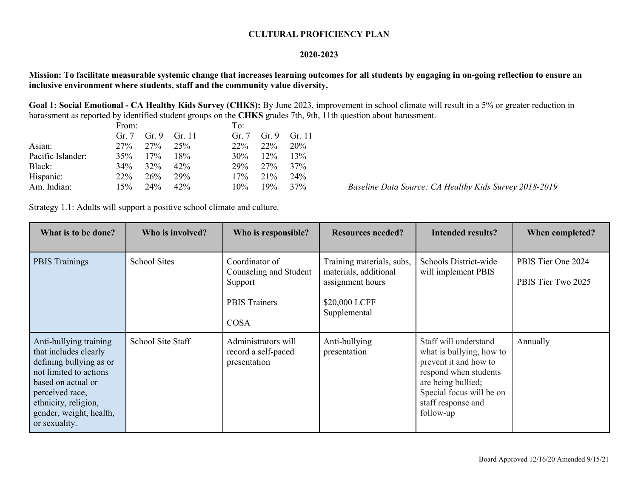## **CULTURAL PROFICIENCY PLAN**

## **2020-2023**

**Mission: To facilitate measurable systemic change that increases learning outcomes for all students by engaging in on-going reflection to ensure an inclusive environment where students, staff and the community value diversity.**

**Goal 1: Social Emotional - CA Healthy Kids Survey (CHKS):** By June 2023, improvement in school climate will result in a 5% or greater reduction in harassment as reported by identified student groups on the **CHKS** grades 7th, 9th, 11th question about harassment.

|                   | From:   |           |              | To:     |                 |              |
|-------------------|---------|-----------|--------------|---------|-----------------|--------------|
|                   | Gr. $7$ |           | Gr. 9 Gr. 11 | Gr. $7$ |                 | Gr. 9 Gr. 11 |
| Asian:            | 27%     | 27\% 25\% |              | $22\%$  | 22 <sup>%</sup> | 20%          |
| Pacific Islander: | 35%     | 17%       | 18%          | $30\%$  | $12\%$          | 13%          |
| Black:            | $34\%$  | $32\%$    | 42%          | 29%     | 27%             | 37%          |
| Hispanic:         | $22\%$  | 26%       | 29%          | 17%     | 21%             | 24%          |
| Am. Indian:       | 15%     | $24\%$    | 42%          | $10\%$  | 19%             | 37%          |

Baseline Data Source: CA Healthy Kids Survey 2018-2019

Strategy 1.1: Adults will support a positive school climate and culture.

| What is to be done?                                                                                                                                                                                               | Who is involved?    | Who is responsible?                                                                        | <b>Resources needed?</b>                                                                                | <b>Intended results?</b>                                                                                                                                                                 | When completed?                          |
|-------------------------------------------------------------------------------------------------------------------------------------------------------------------------------------------------------------------|---------------------|--------------------------------------------------------------------------------------------|---------------------------------------------------------------------------------------------------------|------------------------------------------------------------------------------------------------------------------------------------------------------------------------------------------|------------------------------------------|
| <b>PBIS Trainings</b>                                                                                                                                                                                             | <b>School Sites</b> | Coordinator of<br>Counseling and Student<br>Support<br><b>PBIS Trainers</b><br><b>COSA</b> | Training materials, subs,<br>materials, additional<br>assignment hours<br>\$20,000 LCFF<br>Supplemental | Schools District-wide<br>will implement PBIS                                                                                                                                             | PBIS Tier One 2024<br>PBIS Tier Two 2025 |
| Anti-bullying training<br>that includes clearly<br>defining bullying as or<br>not limited to actions<br>based on actual or<br>perceived race,<br>ethnicity, religion,<br>gender, weight, health,<br>or sexuality. | School Site Staff   | Administrators will<br>record a self-paced<br>presentation                                 | Anti-bullying<br>presentation                                                                           | Staff will understand<br>what is bullying, how to<br>prevent it and how to<br>respond when students<br>are being bullied;<br>Special focus will be on<br>staff response and<br>follow-up | Annually                                 |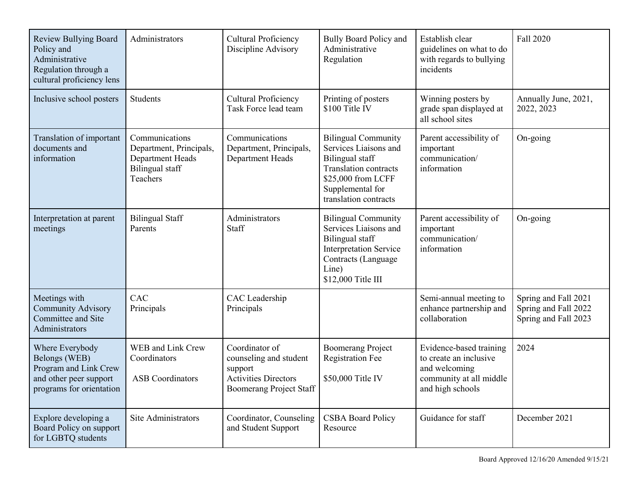| <b>Review Bullying Board</b><br>Policy and<br>Administrative<br>Regulation through a<br>cultural proficiency lens | Administrators                                                                               | Cultural Proficiency<br>Discipline Advisory                                                                          | <b>Bully Board Policy and</b><br>Administrative<br>Regulation                                                                                                                    | Establish clear<br>guidelines on what to do<br>with regards to bullying<br>incidents                              | Fall 2020                                                            |
|-------------------------------------------------------------------------------------------------------------------|----------------------------------------------------------------------------------------------|----------------------------------------------------------------------------------------------------------------------|----------------------------------------------------------------------------------------------------------------------------------------------------------------------------------|-------------------------------------------------------------------------------------------------------------------|----------------------------------------------------------------------|
| Inclusive school posters                                                                                          | <b>Students</b>                                                                              | <b>Cultural Proficiency</b><br>Task Force lead team                                                                  | Printing of posters<br>$$100$ Title IV                                                                                                                                           | Winning posters by<br>grade span displayed at<br>all school sites                                                 | Annually June, 2021,<br>2022, 2023                                   |
| Translation of important<br>documents and<br>information                                                          | Communications<br>Department, Principals,<br>Department Heads<br>Bilingual staff<br>Teachers | Communications<br>Department, Principals,<br>Department Heads                                                        | <b>Bilingual Community</b><br>Services Liaisons and<br><b>Bilingual</b> staff<br><b>Translation contracts</b><br>\$25,000 from LCFF<br>Supplemental for<br>translation contracts | Parent accessibility of<br>important<br>communication/<br>information                                             | On-going                                                             |
| Interpretation at parent<br>meetings                                                                              | <b>Bilingual Staff</b><br>Parents                                                            | Administrators<br>Staff                                                                                              | <b>Bilingual Community</b><br>Services Liaisons and<br><b>Bilingual</b> staff<br><b>Interpretation Service</b><br>Contracts (Language<br>Line)<br>\$12,000 Title III             | Parent accessibility of<br>important<br>communication/<br>information                                             | On-going                                                             |
| Meetings with<br><b>Community Advisory</b><br>Committee and Site<br>Administrators                                | CAC<br>Principals                                                                            | CAC Leadership<br>Principals                                                                                         |                                                                                                                                                                                  | Semi-annual meeting to<br>enhance partnership and<br>collaboration                                                | Spring and Fall 2021<br>Spring and Fall 2022<br>Spring and Fall 2023 |
| Where Everybody<br>Belongs (WEB)<br>Program and Link Crew<br>and other peer support<br>programs for orientation   | WEB and Link Crew<br>Coordinators<br><b>ASB</b> Coordinators                                 | Coordinator of<br>counseling and student<br>support<br><b>Activities Directors</b><br><b>Boomerang Project Staff</b> | <b>Boomerang Project</b><br><b>Registration Fee</b><br>\$50,000 Title IV                                                                                                         | Evidence-based training<br>to create an inclusive<br>and welcoming<br>community at all middle<br>and high schools | 2024                                                                 |
| Explore developing a<br>Board Policy on support<br>for LGBTQ students                                             | Site Administrators                                                                          | Coordinator, Counseling<br>and Student Support                                                                       | <b>CSBA Board Policy</b><br>Resource                                                                                                                                             | Guidance for staff                                                                                                | December 2021                                                        |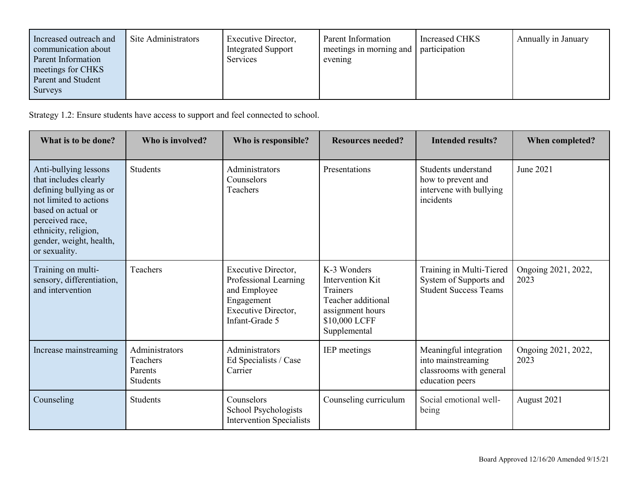| <b>Surveys</b> | Increased outreach and<br>communication about<br>Parent Information<br>meetings for CHKS<br>Parent and Student | Site Administrators | Executive Director,<br><b>Integrated Support</b><br><b>Services</b> | Parent Information<br>meetings in morning and<br>evening | Increased CHKS<br>participation | Annually in January |
|----------------|----------------------------------------------------------------------------------------------------------------|---------------------|---------------------------------------------------------------------|----------------------------------------------------------|---------------------------------|---------------------|
|----------------|----------------------------------------------------------------------------------------------------------------|---------------------|---------------------------------------------------------------------|----------------------------------------------------------|---------------------------------|---------------------|

Strategy 1.2: Ensure students have access to support and feel connected to school.

| What is to be done?                                                                                                                                                                                              | Who is involved?                                         | Who is responsible?                                                                                                        | <b>Resources needed?</b>                                                                                               | <b>Intended results?</b>                                                                   | When completed?             |
|------------------------------------------------------------------------------------------------------------------------------------------------------------------------------------------------------------------|----------------------------------------------------------|----------------------------------------------------------------------------------------------------------------------------|------------------------------------------------------------------------------------------------------------------------|--------------------------------------------------------------------------------------------|-----------------------------|
| Anti-bullying lessons<br>that includes clearly<br>defining bullying as or<br>not limited to actions<br>based on actual or<br>perceived race,<br>ethnicity, religion,<br>gender, weight, health,<br>or sexuality. | <b>Students</b>                                          | Administrators<br>Counselors<br>Teachers                                                                                   | Presentations                                                                                                          | Students understand<br>how to prevent and<br>intervene with bullying<br>incidents          | June 2021                   |
| Training on multi-<br>sensory, differentiation,<br>and intervention                                                                                                                                              | Teachers                                                 | Executive Director,<br>Professional Learning<br>and Employee<br>Engagement<br><b>Executive Director,</b><br>Infant-Grade 5 | K-3 Wonders<br>Intervention Kit<br>Trainers<br>Teacher additional<br>assignment hours<br>\$10,000 LCFF<br>Supplemental | Training in Multi-Tiered<br>System of Supports and<br><b>Student Success Teams</b>         | Ongoing 2021, 2022,<br>2023 |
| Increase mainstreaming                                                                                                                                                                                           | Administrators<br>Teachers<br>Parents<br><b>Students</b> | Administrators<br>Ed Specialists / Case<br>Carrier                                                                         | IEP meetings                                                                                                           | Meaningful integration<br>into mainstreaming<br>classrooms with general<br>education peers | Ongoing 2021, 2022,<br>2023 |
| Counseling                                                                                                                                                                                                       | <b>Students</b>                                          | Counselors<br>School Psychologists<br><b>Intervention Specialists</b>                                                      | Counseling curriculum                                                                                                  | Social emotional well-<br>being                                                            | August 2021                 |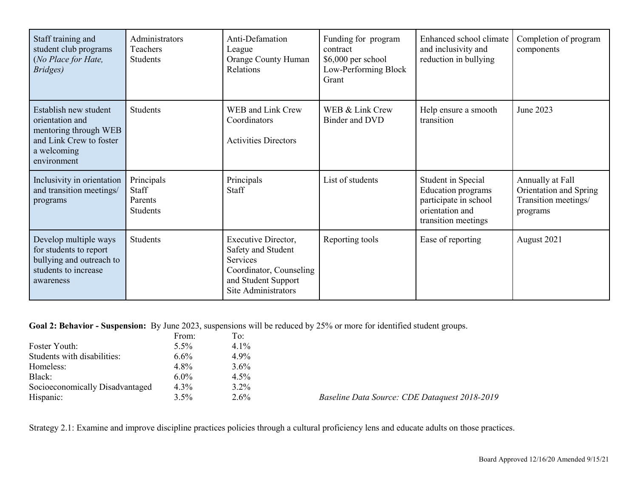| Staff training and<br>student club programs<br>(No Place for Hate,<br>Bridges)                                             | Administrators<br>Teachers<br><b>Students</b>     | Anti-Defamation<br>League<br><b>Orange County Human</b><br>Relations                                                           | Funding for program<br>contract<br>\$6,000 per school<br>Low-Performing Block<br>Grant | Enhanced school climate<br>and inclusivity and<br>reduction in bullying                                            | Completion of program<br>components                                            |
|----------------------------------------------------------------------------------------------------------------------------|---------------------------------------------------|--------------------------------------------------------------------------------------------------------------------------------|----------------------------------------------------------------------------------------|--------------------------------------------------------------------------------------------------------------------|--------------------------------------------------------------------------------|
| Establish new student<br>orientation and<br>mentoring through WEB<br>and Link Crew to foster<br>a welcoming<br>environment | <b>Students</b>                                   | WEB and Link Crew<br>Coordinators<br><b>Activities Directors</b>                                                               | WEB & Link Crew<br>Binder and DVD                                                      | Help ensure a smooth<br>transition                                                                                 | June 2023                                                                      |
| Inclusivity in orientation<br>and transition meetings/<br>programs                                                         | Principals<br>Staff<br>Parents<br><b>Students</b> | Principals<br>Staff                                                                                                            | List of students                                                                       | Student in Special<br><b>Education</b> programs<br>participate in school<br>orientation and<br>transition meetings | Annually at Fall<br>Orientation and Spring<br>Transition meetings/<br>programs |
| Develop multiple ways<br>for students to report<br>bullying and outreach to<br>students to increase<br>awareness           | Students                                          | Executive Director,<br>Safety and Student<br>Services<br>Coordinator, Counseling<br>and Student Support<br>Site Administrators | Reporting tools                                                                        | Ease of reporting                                                                                                  | August 2021                                                                    |

**Goal 2: Behavior - Suspension:** By June 2023, suspensions will be reduced by 25% or more for identified student groups.

|                                 | From:   | To:     |                                               |
|---------------------------------|---------|---------|-----------------------------------------------|
| Foster Youth:                   | $5.5\%$ | $4.1\%$ |                                               |
| Students with disabilities:     | $6.6\%$ | 4.9%    |                                               |
| Homeless:                       | 4.8%    | $3.6\%$ |                                               |
| Black:                          | $6.0\%$ | $4.5\%$ |                                               |
| Socioeconomically Disadvantaged | $4.3\%$ | $3.2\%$ |                                               |
| Hispanic:                       | $3.5\%$ | $2.6\%$ | Baseline Data Source: CDE Dataquest 2018-2019 |

Strategy 2.1: Examine and improve discipline practices policies through a cultural proficiency lens and educate adults on those practices.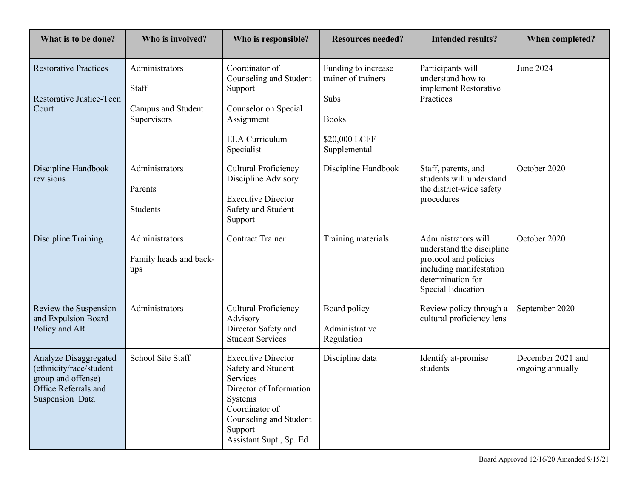| What is to be done?                                                                                               | Who is involved?                                             | Who is responsible?                                                                                                                                                                 | <b>Resources needed?</b>                                                                            | <b>Intended results?</b>                                                                                                                              | When completed?                       |
|-------------------------------------------------------------------------------------------------------------------|--------------------------------------------------------------|-------------------------------------------------------------------------------------------------------------------------------------------------------------------------------------|-----------------------------------------------------------------------------------------------------|-------------------------------------------------------------------------------------------------------------------------------------------------------|---------------------------------------|
| <b>Restorative Practices</b><br>Restorative Justice-Teen<br>Court                                                 | Administrators<br>Staff<br>Campus and Student<br>Supervisors | Coordinator of<br>Counseling and Student<br>Support<br>Counselor on Special<br>Assignment<br><b>ELA Curriculum</b><br>Specialist                                                    | Funding to increase<br>trainer of trainers<br>Subs<br><b>Books</b><br>\$20,000 LCFF<br>Supplemental | Participants will<br>understand how to<br>implement Restorative<br>Practices                                                                          | June 2024                             |
| Discipline Handbook<br>revisions                                                                                  | Administrators<br>Parents<br><b>Students</b>                 | <b>Cultural Proficiency</b><br>Discipline Advisory<br><b>Executive Director</b><br>Safety and Student<br>Support                                                                    | Discipline Handbook                                                                                 | Staff, parents, and<br>students will understand<br>the district-wide safety<br>procedures                                                             | October 2020                          |
| Discipline Training                                                                                               | Administrators<br>Family heads and back-<br>ups              | <b>Contract Trainer</b>                                                                                                                                                             | Training materials                                                                                  | Administrators will<br>understand the discipline<br>protocol and policies<br>including manifestation<br>determination for<br><b>Special Education</b> | October 2020                          |
| Review the Suspension<br>and Expulsion Board<br>Policy and AR                                                     | Administrators                                               | <b>Cultural Proficiency</b><br>Advisory<br>Director Safety and<br><b>Student Services</b>                                                                                           | Board policy<br>Administrative<br>Regulation                                                        | Review policy through a<br>cultural proficiency lens                                                                                                  | September 2020                        |
| Analyze Disaggregated<br>(ethnicity/race/student<br>group and offense)<br>Office Referrals and<br>Suspension Data | School Site Staff                                            | <b>Executive Director</b><br>Safety and Student<br>Services<br>Director of Information<br>Systems<br>Coordinator of<br>Counseling and Student<br>Support<br>Assistant Supt., Sp. Ed | Discipline data                                                                                     | Identify at-promise<br>students                                                                                                                       | December 2021 and<br>ongoing annually |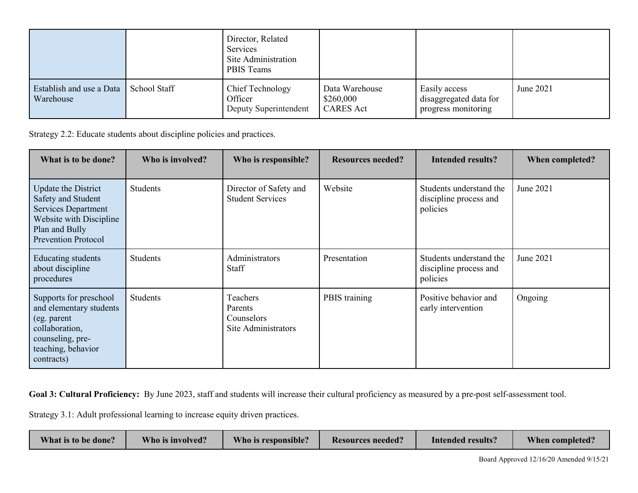|                                       |              | Director, Related<br>Services<br>Site Administration<br>PBIS Teams |                                                 |                                                                |           |
|---------------------------------------|--------------|--------------------------------------------------------------------|-------------------------------------------------|----------------------------------------------------------------|-----------|
| Establish and use a Data<br>Warehouse | School Staff | Chief Technology<br>Officer<br>Deputy Superintendent               | Data Warehouse<br>\$260,000<br><b>CARES</b> Act | Easily access<br>disaggregated data for<br>progress monitoring | June 2021 |

Strategy 2.2: Educate students about discipline policies and practices.

| What is to be done?                                                                                                                                | Who is involved? | Who is responsible?                                      | <b>Resources needed?</b> | <b>Intended results?</b>                                      | When completed? |
|----------------------------------------------------------------------------------------------------------------------------------------------------|------------------|----------------------------------------------------------|--------------------------|---------------------------------------------------------------|-----------------|
| Update the District<br>Safety and Student<br><b>Services Department</b><br>Website with Discipline<br>Plan and Bully<br><b>Prevention Protocol</b> | <b>Students</b>  | Director of Safety and<br><b>Student Services</b>        | Website                  | Students understand the<br>discipline process and<br>policies | June 2021       |
| Educating students<br>about discipline<br>procedures                                                                                               | Students         | Administrators<br>Staff                                  | Presentation             | Students understand the<br>discipline process and<br>policies | June 2021       |
| Supports for preschool<br>and elementary students<br>(eg. parent<br>collaboration,<br>counseling, pre-<br>teaching, behavior<br>contracts)         | Students         | Teachers<br>Parents<br>Counselors<br>Site Administrators | PBIS training            | Positive behavior and<br>early intervention                   | Ongoing         |

Goal 3: Cultural Proficiency: By June 2023, staff and students will increase their cultural proficiency as measured by a pre-post self-assessment tool.

Strategy 3.1: Adult professional learning to increase equity driven practices.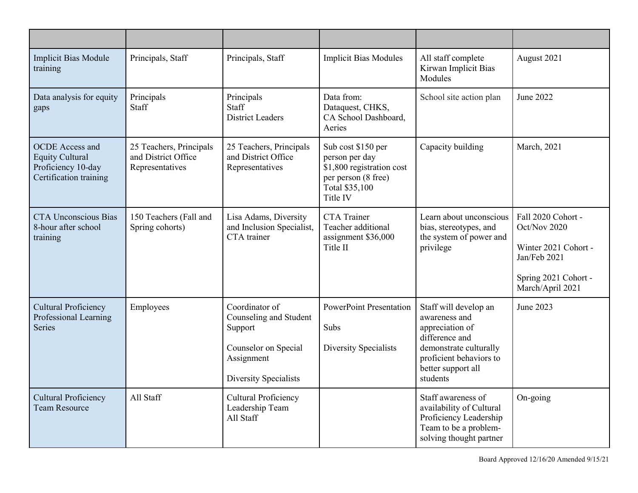| <b>Implicit Bias Module</b><br>training                                                          | Principals, Staff                                                 | Principals, Staff                                                                                                  | <b>Implicit Bias Modules</b>                                                                                           | All staff complete<br>Kirwan Implicit Bias<br>Modules                                                                                                              | August 2021                                                                                                            |
|--------------------------------------------------------------------------------------------------|-------------------------------------------------------------------|--------------------------------------------------------------------------------------------------------------------|------------------------------------------------------------------------------------------------------------------------|--------------------------------------------------------------------------------------------------------------------------------------------------------------------|------------------------------------------------------------------------------------------------------------------------|
| Data analysis for equity<br>gaps                                                                 | Principals<br>Staff                                               | Principals<br>Staff<br><b>District Leaders</b>                                                                     | Data from:<br>Dataquest, CHKS,<br>CA School Dashboard,<br>Aeries                                                       | School site action plan                                                                                                                                            | June 2022                                                                                                              |
| <b>OCDE</b> Access and<br><b>Equity Cultural</b><br>Proficiency 10-day<br>Certification training | 25 Teachers, Principals<br>and District Office<br>Representatives | 25 Teachers, Principals<br>and District Office<br>Representatives                                                  | Sub cost \$150 per<br>person per day<br>\$1,800 registration cost<br>per person (8 free)<br>Total \$35,100<br>Title IV | Capacity building                                                                                                                                                  | March, 2021                                                                                                            |
| <b>CTA Unconscious Bias</b><br>8-hour after school<br>training                                   | 150 Teachers (Fall and<br>Spring cohorts)                         | Lisa Adams, Diversity<br>and Inclusion Specialist,<br>CTA trainer                                                  | <b>CTA</b> Trainer<br>Teacher additional<br>assignment \$36,000<br>Title II                                            | Learn about unconscious<br>bias, stereotypes, and<br>the system of power and<br>privilege                                                                          | Fall 2020 Cohort -<br>Oct/Nov 2020<br>Winter 2021 Cohort -<br>Jan/Feb 2021<br>Spring 2021 Cohort -<br>March/April 2021 |
| <b>Cultural Proficiency</b><br>Professional Learning<br><b>Series</b>                            | Employees                                                         | Coordinator of<br>Counseling and Student<br>Support<br>Counselor on Special<br>Assignment<br>Diversity Specialists | <b>PowerPoint Presentation</b><br>Subs<br><b>Diversity Specialists</b>                                                 | Staff will develop an<br>awareness and<br>appreciation of<br>difference and<br>demonstrate culturally<br>proficient behaviors to<br>better support all<br>students | June 2023                                                                                                              |
| <b>Cultural Proficiency</b><br><b>Team Resource</b>                                              | All Staff                                                         | <b>Cultural Proficiency</b><br>Leadership Team<br>All Staff                                                        |                                                                                                                        | Staff awareness of<br>availability of Cultural<br>Proficiency Leadership<br>Team to be a problem-<br>solving thought partner                                       | On-going                                                                                                               |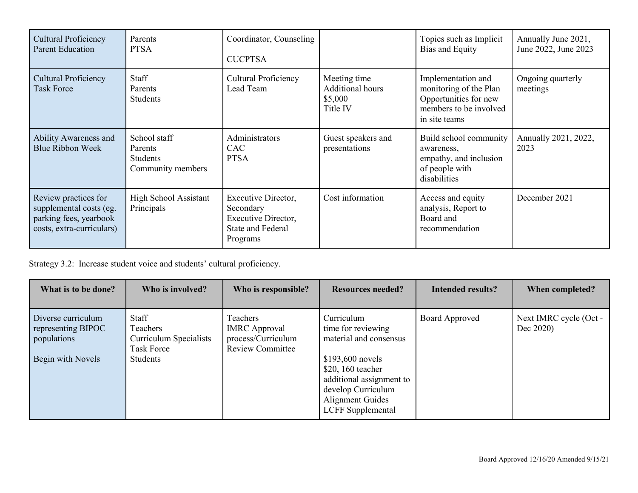| Cultural Proficiency<br><b>Parent Education</b>                                                        | Parents<br><b>PTSA</b>                                          | Coordinator, Counseling<br><b>CUCPTSA</b>                                                       |                                                                | Topics such as Implicit<br>Bias and Equity                                                                       | Annually June 2021,<br>June 2022, June 2023 |
|--------------------------------------------------------------------------------------------------------|-----------------------------------------------------------------|-------------------------------------------------------------------------------------------------|----------------------------------------------------------------|------------------------------------------------------------------------------------------------------------------|---------------------------------------------|
| Cultural Proficiency<br><b>Task Force</b>                                                              | Staff<br>Parents<br><b>Students</b>                             | <b>Cultural Proficiency</b><br>Lead Team                                                        | Meeting time<br><b>Additional hours</b><br>\$5,000<br>Title IV | Implementation and<br>monitoring of the Plan<br>Opportunities for new<br>members to be involved<br>in site teams | Ongoing quarterly<br>meetings               |
| Ability Awareness and<br><b>Blue Ribbon Week</b>                                                       | School staff<br>Parents<br><b>Students</b><br>Community members | Administrators<br><b>CAC</b><br><b>PTSA</b>                                                     | Guest speakers and<br>presentations                            | Build school community<br>awareness,<br>empathy, and inclusion<br>of people with<br>disabilities                 | Annually 2021, 2022,<br>2023                |
| Review practices for<br>supplemental costs (eg.<br>parking fees, yearbook<br>costs, extra-curriculars) | High School Assistant<br>Principals                             | Executive Director,<br>Secondary<br>Executive Director,<br><b>State and Federal</b><br>Programs | Cost information                                               | Access and equity<br>analysis, Report to<br>Board and<br>recommendation                                          | December 2021                               |

Strategy 3.2: Increase student voice and students' cultural proficiency.

| What is to be done?                                                          | Who is involved?                                                                    | Who is responsible?                                                               | <b>Resources needed?</b>                                                                                                                                                                               | <b>Intended results?</b> | When completed?                     |
|------------------------------------------------------------------------------|-------------------------------------------------------------------------------------|-----------------------------------------------------------------------------------|--------------------------------------------------------------------------------------------------------------------------------------------------------------------------------------------------------|--------------------------|-------------------------------------|
| Diverse curriculum<br>representing BIPOC<br>populations<br>Begin with Novels | Staff<br><b>Teachers</b><br>Curriculum Specialists<br>Task Force<br><b>Students</b> | Teachers<br><b>IMRC</b> Approval<br>process/Curriculum<br><b>Review Committee</b> | Curriculum<br>time for reviewing<br>material and consensus<br>$$193,600$ novels<br>\$20, 160 teacher<br>additional assignment to<br>develop Curriculum<br>Alignment Guides<br><b>LCFF</b> Supplemental | Board Approved           | Next IMRC cycle (Oct -<br>Dec 2020) |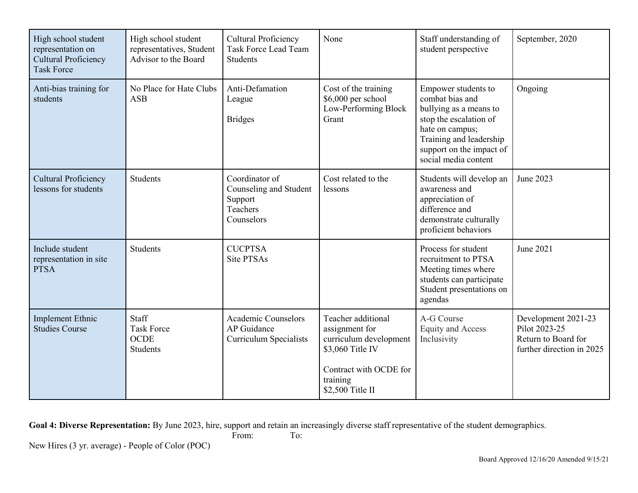| High school student<br>representation on<br><b>Cultural Proficiency</b><br><b>Task Force</b> | High school student<br>representatives, Student<br>Advisor to the Board | <b>Cultural Proficiency</b><br><b>Task Force Lead Team</b><br><b>Students</b> | None                                                                                                                                         | Staff understanding of<br>student perspective                                                                                                                                                | September, 2020                                                                          |
|----------------------------------------------------------------------------------------------|-------------------------------------------------------------------------|-------------------------------------------------------------------------------|----------------------------------------------------------------------------------------------------------------------------------------------|----------------------------------------------------------------------------------------------------------------------------------------------------------------------------------------------|------------------------------------------------------------------------------------------|
| Anti-bias training for<br>students                                                           | No Place for Hate Clubs<br><b>ASB</b>                                   | Anti-Defamation<br>League<br><b>Bridges</b>                                   | Cost of the training<br>\$6,000 per school<br>Low-Performing Block<br>Grant                                                                  | Empower students to<br>combat bias and<br>bullying as a means to<br>stop the escalation of<br>hate on campus;<br>Training and leadership<br>support on the impact of<br>social media content | Ongoing                                                                                  |
| <b>Cultural Proficiency</b><br>lessons for students                                          | <b>Students</b>                                                         | Coordinator of<br>Counseling and Student<br>Support<br>Teachers<br>Counselors | Cost related to the<br>lessons                                                                                                               | Students will develop an<br>awareness and<br>appreciation of<br>difference and<br>demonstrate culturally<br>proficient behaviors                                                             | June 2023                                                                                |
| Include student<br>representation in site<br><b>PTSA</b>                                     | <b>Students</b>                                                         | <b>CUCPTSA</b><br><b>Site PTSAs</b>                                           |                                                                                                                                              | Process for student<br>recruitment to PTSA<br>Meeting times where<br>students can participate<br>Student presentations on<br>agendas                                                         | June 2021                                                                                |
| <b>Implement Ethnic</b><br><b>Studies Course</b>                                             | Staff<br><b>Task Force</b><br><b>OCDE</b><br><b>Students</b>            | <b>Academic Counselors</b><br>AP Guidance<br><b>Curriculum Specialists</b>    | Teacher additional<br>assignment for<br>curriculum development<br>\$3,060 Title IV<br>Contract with OCDE for<br>training<br>\$2,500 Title II | A-G Course<br><b>Equity and Access</b><br>Inclusivity                                                                                                                                        | Development 2021-23<br>Pilot 2023-25<br>Return to Board for<br>further direction in 2025 |

**Goal 4: Diverse Representation:** By June 2023, hire, support and retain an increasingly diverse staff representative of the student demographics.<br>From: To: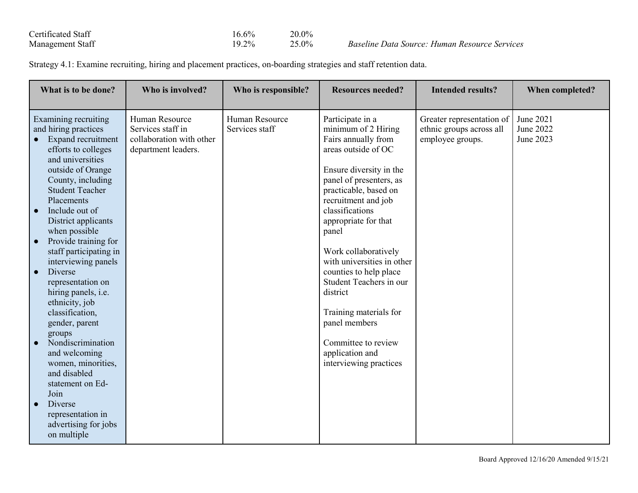| Certificated Staff | 16.6%    | $20.0\%$ |
|--------------------|----------|----------|
| Management Staff   | $19.2\%$ | 25.0%    |

%<br>% *Baseline Data Source: Human Resource Services* 

Strategy 4.1: Examine recruiting, hiring and placement practices, on-boarding strategies and staff retention data.

| What is to be done?                                                                                                                                                                                                                                                                                                                                                                                                                                                                                                                                                                                                                                    | Who is involved?                                                                       | Who is responsible?              | <b>Resources needed?</b>                                                                                                                                                                                                                                                                                                                                                                                                                                                              | <b>Intended results?</b>                                                  | When completed?                     |
|--------------------------------------------------------------------------------------------------------------------------------------------------------------------------------------------------------------------------------------------------------------------------------------------------------------------------------------------------------------------------------------------------------------------------------------------------------------------------------------------------------------------------------------------------------------------------------------------------------------------------------------------------------|----------------------------------------------------------------------------------------|----------------------------------|---------------------------------------------------------------------------------------------------------------------------------------------------------------------------------------------------------------------------------------------------------------------------------------------------------------------------------------------------------------------------------------------------------------------------------------------------------------------------------------|---------------------------------------------------------------------------|-------------------------------------|
| Examining recruiting<br>and hiring practices<br>Expand recruitment<br>efforts to colleges<br>and universities<br>outside of Orange<br>County, including<br><b>Student Teacher</b><br>Placements<br>Include out of<br>District applicants<br>when possible<br>Provide training for<br>staff participating in<br>interviewing panels<br>Diverse<br>$\bullet$<br>representation on<br>hiring panels, i.e.<br>ethnicity, job<br>classification,<br>gender, parent<br>groups<br>Nondiscrimination<br>and welcoming<br>women, minorities,<br>and disabled<br>statement on Ed-<br>Join<br>Diverse<br>representation in<br>advertising for jobs<br>on multiple | Human Resource<br>Services staff in<br>collaboration with other<br>department leaders. | Human Resource<br>Services staff | Participate in a<br>minimum of 2 Hiring<br>Fairs annually from<br>areas outside of OC<br>Ensure diversity in the<br>panel of presenters, as<br>practicable, based on<br>recruitment and job<br>classifications<br>appropriate for that<br>panel<br>Work collaboratively<br>with universities in other<br>counties to help place<br>Student Teachers in our<br>district<br>Training materials for<br>panel members<br>Committee to review<br>application and<br>interviewing practices | Greater representation of<br>ethnic groups across all<br>employee groups. | June 2021<br>June 2022<br>June 2023 |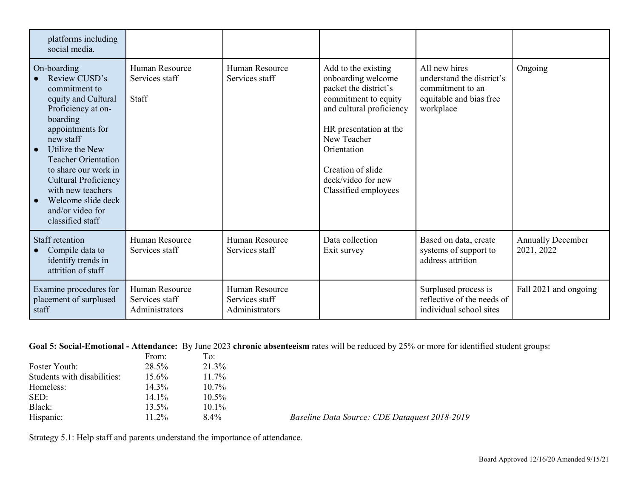| platforms including<br>social media.                                                                                                                                                                                                                                                                                                     |                                                    |                                                    |                                                                                                                                                                                                                                                   |                                                                                                        |                                        |
|------------------------------------------------------------------------------------------------------------------------------------------------------------------------------------------------------------------------------------------------------------------------------------------------------------------------------------------|----------------------------------------------------|----------------------------------------------------|---------------------------------------------------------------------------------------------------------------------------------------------------------------------------------------------------------------------------------------------------|--------------------------------------------------------------------------------------------------------|----------------------------------------|
| On-boarding<br>Review CUSD's<br>commitment to<br>equity and Cultural<br>Proficiency at on-<br>boarding<br>appointments for<br>new staff<br>Utilize the New<br>$\bullet$<br><b>Teacher Orientation</b><br>to share our work in<br>Cultural Proficiency<br>with new teachers<br>Welcome slide deck<br>and/or video for<br>classified staff | Human Resource<br>Services staff<br>Staff          | Human Resource<br>Services staff                   | Add to the existing<br>onboarding welcome<br>packet the district's<br>commitment to equity<br>and cultural proficiency<br>HR presentation at the<br>New Teacher<br>Orientation<br>Creation of slide<br>deck/video for new<br>Classified employees | All new hires<br>understand the district's<br>commitment to an<br>equitable and bias free<br>workplace | Ongoing                                |
| Staff retention<br>Compile data to<br>identify trends in<br>attrition of staff                                                                                                                                                                                                                                                           | Human Resource<br>Services staff                   | Human Resource<br>Services staff                   | Data collection<br>Exit survey                                                                                                                                                                                                                    | Based on data, create<br>systems of support to<br>address attrition                                    | <b>Annually December</b><br>2021, 2022 |
| Examine procedures for<br>placement of surplused<br>staff                                                                                                                                                                                                                                                                                | Human Resource<br>Services staff<br>Administrators | Human Resource<br>Services staff<br>Administrators |                                                                                                                                                                                                                                                   | Surplused process is<br>reflective of the needs of<br>individual school sites                          | Fall 2021 and ongoing                  |

## **Goal 5: Social-Emotional - Attendance:** By June 2023 **chronic absenteeism** rates will be reduced by 25% or more for identified student groups:

|                             | From:    | To:      |                                               |
|-----------------------------|----------|----------|-----------------------------------------------|
| Foster Youth:               | 28.5%    | 21.3%    |                                               |
| Students with disabilities: | $15.6\%$ | $11.7\%$ |                                               |
| Homeless:                   | 14.3%    | $10.7\%$ |                                               |
| SED:                        | $14.1\%$ | $10.5\%$ |                                               |
| Black:                      | 13.5%    | $10.1\%$ |                                               |
| Hispanic:                   | $11.2\%$ | $8.4\%$  | Baseline Data Source: CDE Dataquest 2018-2019 |

Strategy 5.1: Help staff and parents understand the importance of attendance.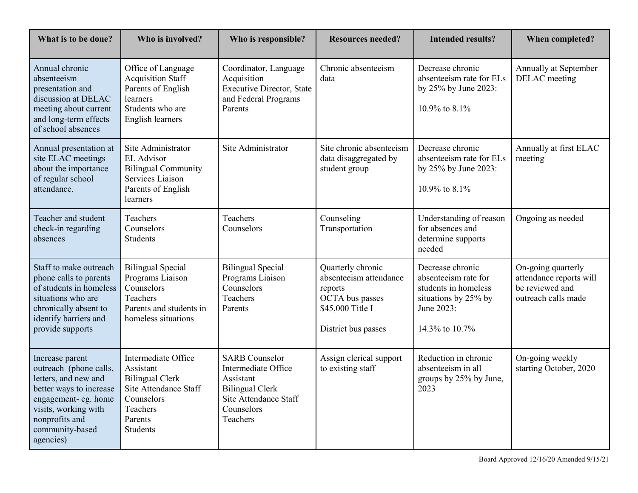| What is to be done?                                                                                                                                                                            | Who is involved?                                                                                                                     | Who is responsible?                                                                                                                    | <b>Resources needed?</b>                                                                                             | <b>Intended results?</b>                                                                                                 | When completed?                                                                         |
|------------------------------------------------------------------------------------------------------------------------------------------------------------------------------------------------|--------------------------------------------------------------------------------------------------------------------------------------|----------------------------------------------------------------------------------------------------------------------------------------|----------------------------------------------------------------------------------------------------------------------|--------------------------------------------------------------------------------------------------------------------------|-----------------------------------------------------------------------------------------|
| Annual chronic<br>absenteeism<br>presentation and<br>discussion at DELAC<br>meeting about current<br>and long-term effects<br>of school absences                                               | Office of Language<br><b>Acquisition Staff</b><br>Parents of English<br>learners<br>Students who are<br>English learners             | Coordinator, Language<br>Acquisition<br><b>Executive Director, State</b><br>and Federal Programs<br>Parents                            | Chronic absenteeism<br>data                                                                                          | Decrease chronic<br>absenteeism rate for ELs<br>by 25% by June 2023:<br>10.9% to 8.1%                                    | Annually at September<br>DELAC meeting                                                  |
| Annual presentation at<br>site ELAC meetings<br>about the importance<br>of regular school<br>attendance.                                                                                       | Site Administrator<br><b>EL</b> Advisor<br><b>Bilingual Community</b><br>Services Liaison<br>Parents of English<br>learners          | Site Administrator                                                                                                                     | Site chronic absenteeism<br>data disaggregated by<br>student group                                                   | Decrease chronic<br>absenteeism rate for ELs<br>by 25% by June 2023:<br>10.9% to 8.1%                                    | Annually at first ELAC<br>meeting                                                       |
| Teacher and student<br>check-in regarding<br>absences                                                                                                                                          | Teachers<br>Counselors<br><b>Students</b>                                                                                            | Teachers<br>Counselors                                                                                                                 | Counseling<br>Transportation                                                                                         | Understanding of reason<br>for absences and<br>determine supports<br>needed                                              | Ongoing as needed                                                                       |
| Staff to make outreach<br>phone calls to parents<br>of students in homeless<br>situations who are<br>chronically absent to<br>identify barriers and<br>provide supports                        | <b>Bilingual Special</b><br>Programs Liaison<br>Counselors<br>Teachers<br>Parents and students in<br>homeless situations             | <b>Bilingual Special</b><br>Programs Liaison<br>Counselors<br>Teachers<br>Parents                                                      | Quarterly chronic<br>absenteeism attendance<br>reports<br>OCTA bus passes<br>\$45,000 Title I<br>District bus passes | Decrease chronic<br>absenteeism rate for<br>students in homeless<br>situations by 25% by<br>June 2023:<br>14.3% to 10.7% | On-going quarterly<br>attendance reports will<br>be reviewed and<br>outreach calls made |
| Increase parent<br>outreach (phone calls,<br>letters, and new and<br>better ways to increase<br>engagement- eg. home<br>visits, working with<br>nonprofits and<br>community-based<br>agencies) | Intermediate Office<br>Assistant<br><b>Bilingual Clerk</b><br>Site Attendance Staff<br>Counselors<br>Teachers<br>Parents<br>Students | <b>SARB</b> Counselor<br>Intermediate Office<br>Assistant<br><b>Bilingual Clerk</b><br>Site Attendance Staff<br>Counselors<br>Teachers | Assign clerical support<br>to existing staff                                                                         | Reduction in chronic<br>absenteeism in all<br>groups by 25% by June,<br>2023                                             | On-going weekly<br>starting October, 2020                                               |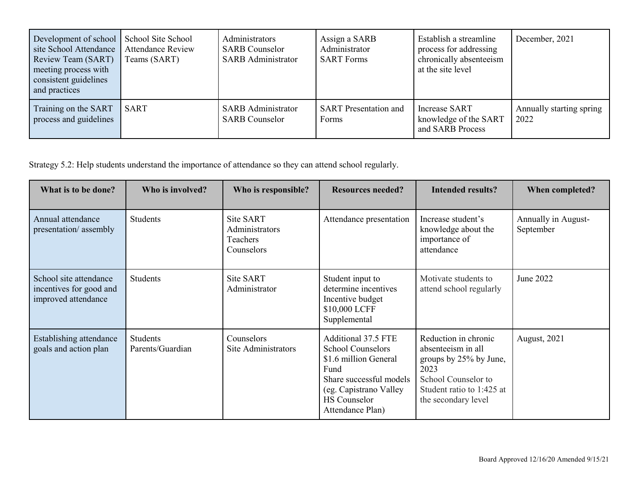| Development of school<br>site School Attendance<br>Review Team (SART)<br>meeting process with<br>consistent guidelines<br>and practices | School Site School<br><b>Attendance Review</b><br>Teams (SART) | Administrators<br><b>SARB</b> Counselor<br><b>SARB</b> Administrator | Assign a SARB<br>Administrator<br><b>SART Forms</b> | Establish a streamline<br>process for addressing<br>chronically absenteeism<br>at the site level | December, 2021                   |
|-----------------------------------------------------------------------------------------------------------------------------------------|----------------------------------------------------------------|----------------------------------------------------------------------|-----------------------------------------------------|--------------------------------------------------------------------------------------------------|----------------------------------|
| Training on the SART<br>process and guidelines                                                                                          | SART                                                           | <b>SARB</b> Administrator<br><b>SARB</b> Counselor                   | <b>SART</b> Presentation and<br>Forms               | <b>Increase SART</b><br>knowledge of the SART<br>and SARB Process                                | Annually starting spring<br>2022 |

Strategy 5.2: Help students understand the importance of attendance so they can attend school regularly.

| What is to be done?                                                      | Who is involved?             | Who is responsible?                                   | <b>Resources needed?</b>                                                                                                                                                         | <b>Intended results?</b>                                                                                                                                | When completed?                  |
|--------------------------------------------------------------------------|------------------------------|-------------------------------------------------------|----------------------------------------------------------------------------------------------------------------------------------------------------------------------------------|---------------------------------------------------------------------------------------------------------------------------------------------------------|----------------------------------|
| Annual attendance<br>presentation/assembly                               | <b>Students</b>              | Site SART<br>Administrators<br>Teachers<br>Counselors | Attendance presentation                                                                                                                                                          | Increase student's<br>knowledge about the<br>importance of<br>attendance                                                                                | Annually in August-<br>September |
| School site attendance<br>incentives for good and<br>improved attendance | Students                     | Site SART<br>Administrator                            | Student input to<br>determine incentives<br>Incentive budget<br>\$10,000 LCFF<br>Supplemental                                                                                    | Motivate students to<br>attend school regularly                                                                                                         | June 2022                        |
| Establishing attendance<br>goals and action plan                         | Students<br>Parents/Guardian | Counselors<br>Site Administrators                     | Additional 37.5 FTE<br><b>School Counselors</b><br>\$1.6 million General<br>Fund<br>Share successful models<br>(eg. Capistrano Valley<br><b>HS</b> Counselor<br>Attendance Plan) | Reduction in chronic<br>absenteeism in all<br>groups by 25% by June,<br>2023<br>School Counselor to<br>Student ratio to 1:425 at<br>the secondary level | <b>August</b> , 2021             |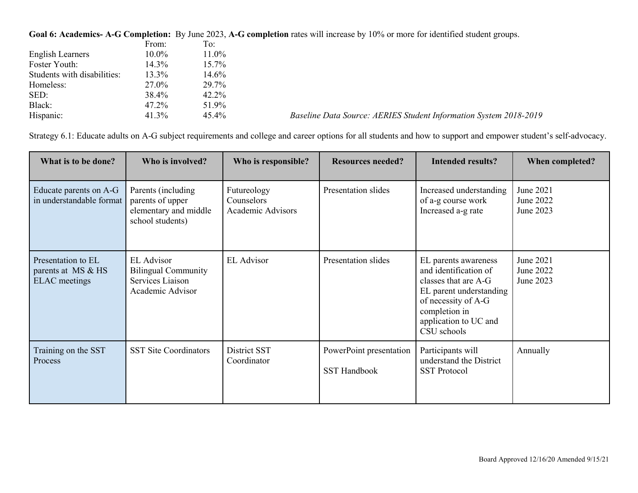**Goal 6: Academics- A-G Completion:** By June 2023, **A-G completion** rates will increase by 10% or more for identified student groups.

|                             | From:    | To:      |                                                                   |
|-----------------------------|----------|----------|-------------------------------------------------------------------|
| English Learners            | $10.0\%$ | 11.0%    |                                                                   |
| Foster Youth:               | 14.3%    | $15.7\%$ |                                                                   |
| Students with disabilities: | 13.3%    | 14.6%    |                                                                   |
| Homeless:                   | 27.0%    | 29.7%    |                                                                   |
| SED:                        | 38.4%    | 42.2%    |                                                                   |
| Black:                      | 47.2%    | 51.9%    |                                                                   |
| Hispanic:                   | 41.3%    | 45.4%    | Baseline Data Source: AERIES Student Information System 2018-2019 |

Strategy 6.1: Educate adults on A-G subject requirements and college and career options for all students and how to support and empower student's self-advocacy.

| What is to be done?                                              | Who is involved?                                                                        | Who is responsible?                            | <b>Resources needed?</b>                       | <b>Intended results?</b>                                                                                                                                                         | When completed?                     |
|------------------------------------------------------------------|-----------------------------------------------------------------------------------------|------------------------------------------------|------------------------------------------------|----------------------------------------------------------------------------------------------------------------------------------------------------------------------------------|-------------------------------------|
| Educate parents on A-G<br>in understandable format               | Parents (including)<br>parents of upper<br>elementary and middle<br>school students)    | Futureology<br>Counselors<br>Academic Advisors | Presentation slides                            | Increased understanding<br>of a-g course work<br>Increased a-g rate                                                                                                              | June 2021<br>June 2022<br>June 2023 |
| Presentation to EL<br>parents at MS & HS<br><b>ELAC</b> meetings | <b>EL</b> Advisor<br><b>Bilingual Community</b><br>Services Liaison<br>Academic Advisor | <b>EL</b> Advisor                              | Presentation slides                            | EL parents awareness<br>and identification of<br>classes that are A-G<br>EL parent understanding<br>of necessity of A-G<br>completion in<br>application to UC and<br>CSU schools | June 2021<br>June 2022<br>June 2023 |
| Training on the SST<br>Process                                   | <b>SST Site Coordinators</b>                                                            | District SST<br>Coordinator                    | PowerPoint presentation<br><b>SST Handbook</b> | Participants will<br>understand the District<br><b>SST Protocol</b>                                                                                                              | Annually                            |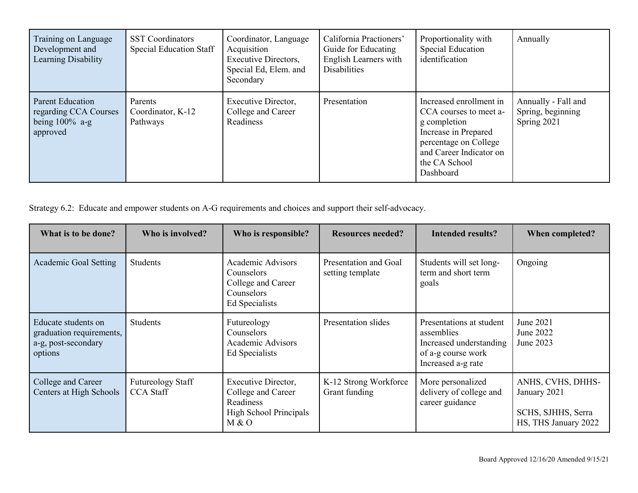| Training on Language<br>Development and<br>Learning Disability             | <b>SST</b> Coordinators<br><b>Special Education Staff</b> | Coordinator, Language<br>Acquisition<br><b>Executive Directors,</b><br>Special Ed, Elem. and<br>Secondary | California Practioners'<br>Guide for Educating<br>English Learners with<br><b>Disabilities</b> | Proportionality with<br>Special Education<br>identification                                                                                                                 | Annually                                                |
|----------------------------------------------------------------------------|-----------------------------------------------------------|-----------------------------------------------------------------------------------------------------------|------------------------------------------------------------------------------------------------|-----------------------------------------------------------------------------------------------------------------------------------------------------------------------------|---------------------------------------------------------|
| Parent Education<br>regarding CCA Courses<br>being $100\%$ a-g<br>approved | Parents<br>Coordinator, K-12<br>Pathways                  | Executive Director,<br>College and Career<br>Readiness                                                    | Presentation                                                                                   | Increased enrollment in<br>CCA courses to meet a-<br>g completion<br>Increase in Prepared<br>percentage on College<br>and Career Indicator on<br>the CA School<br>Dashboard | Annually - Fall and<br>Spring, beginning<br>Spring 2021 |

Strategy 6.2: Educate and empower students on A-G requirements and choices and support their self-advocacy.

| What is to be done?                                                               | Who is involved?                      | Who is responsible?                                                                          | <b>Resources needed?</b>                  | <b>Intended results?</b>                                                                                      | When completed?                                                                 |
|-----------------------------------------------------------------------------------|---------------------------------------|----------------------------------------------------------------------------------------------|-------------------------------------------|---------------------------------------------------------------------------------------------------------------|---------------------------------------------------------------------------------|
| <b>Academic Goal Setting</b>                                                      | <b>Students</b>                       | <b>Academic Advisors</b><br>Counselors<br>College and Career<br>Counselors<br>Ed Specialists | Presentation and Goal<br>setting template | Students will set long-<br>term and short term<br>goals                                                       | Ongoing                                                                         |
| Educate students on<br>graduation requirements,<br>a-g, post-secondary<br>options | Students                              | Futureology<br>Counselors<br>Academic Advisors<br>Ed Specialists                             | Presentation slides                       | Presentations at student<br>assemblies<br>Increased understanding<br>of a-g course work<br>Increased a-g rate | June 2021<br>June 2022<br>June 2023                                             |
| College and Career<br>Centers at High Schools                                     | Futureology Staff<br><b>CCA</b> Staff | Executive Director,<br>College and Career<br>Readiness<br>High School Principals<br>M & O    | K-12 Strong Workforce<br>Grant funding    | More personalized<br>delivery of college and<br>career guidance                                               | ANHS, CVHS, DHHS-<br>January 2021<br>SCHS, SJHHS, Serra<br>HS, THS January 2022 |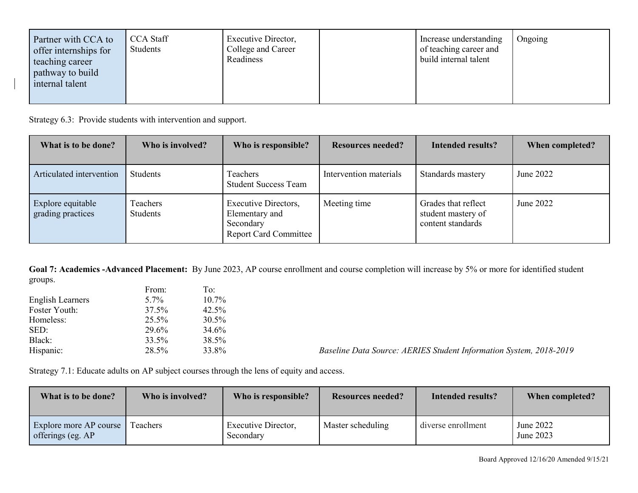| Partner with CCA to<br>offer internships for<br>teaching career<br><b>pathway</b> to build<br>internal talent | <b>CCA Staff</b><br>Students | Executive Director,<br>College and Career<br>Readiness |  | Increase understanding<br>of teaching career and<br>build internal talent | Ongoing |
|---------------------------------------------------------------------------------------------------------------|------------------------------|--------------------------------------------------------|--|---------------------------------------------------------------------------|---------|
|---------------------------------------------------------------------------------------------------------------|------------------------------|--------------------------------------------------------|--|---------------------------------------------------------------------------|---------|

Strategy 6.3: Provide students with intervention and support.

| What is to be done?                    | Who is involved?     | Who is responsible?                                                                        | <b>Resources needed?</b> | Intended results?                                              | When completed? |
|----------------------------------------|----------------------|--------------------------------------------------------------------------------------------|--------------------------|----------------------------------------------------------------|-----------------|
| Articulated intervention               | Students             | <b>Teachers</b><br><b>Student Success Team</b>                                             | Intervention materials   | Standards mastery                                              | June 2022       |
| Explore equitable<br>grading practices | Teachers<br>Students | <b>Executive Directors,</b><br>Elementary and<br>Secondary<br><b>Report Card Committee</b> | Meeting time             | Grades that reflect<br>student mastery of<br>content standards | June 2022       |

**Goal 7: Academics -Advanced Placement:** By June 2023, AP course enrollment and course completion will increase by 5% or more for identified student groups.

| From: | To:   |
|-------|-------|
| 5.7%  | 10.7% |
| 37.5% | 42.5% |
| 25.5% | 30.5% |
| 29.6% | 34.6% |
| 33.5% | 38.5% |
| 28.5% | 33.8% |
|       |       |

Baseline Data Source: AERIES Student Information System, 2018-2019

Strategy 7.1: Educate adults on AP subject courses through the lens of equity and access.

| What is to be done?                         | Who is involved? | Who is responsible?              | <b>Resources needed?</b> | Intended results?  | When completed?        |
|---------------------------------------------|------------------|----------------------------------|--------------------------|--------------------|------------------------|
| Explore more AP course<br>offerings (eg. AP | <b>Teachers</b>  | Executive Director,<br>Secondary | Master scheduling        | diverse enrollment | June 2022<br>June 2023 |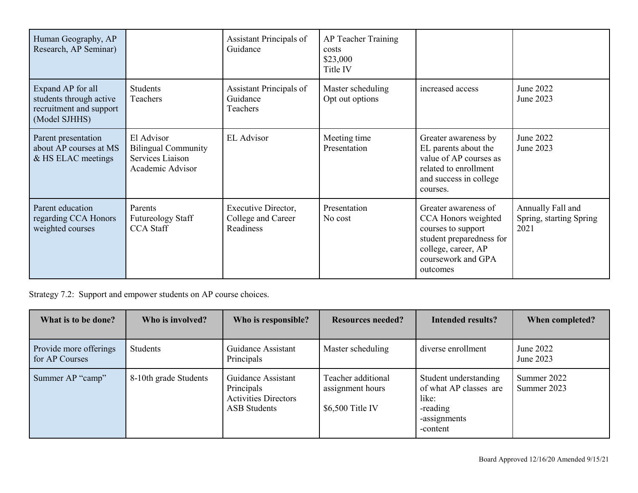| Human Geography, AP<br>Research, AP Seminar)                                             |                                                                                  | Assistant Principals of<br>Guidance                    | AP Teacher Training<br>costs<br>\$23,000<br>Title IV |                                                                                                                                                        |                                                      |
|------------------------------------------------------------------------------------------|----------------------------------------------------------------------------------|--------------------------------------------------------|------------------------------------------------------|--------------------------------------------------------------------------------------------------------------------------------------------------------|------------------------------------------------------|
| Expand AP for all<br>students through active<br>recruitment and support<br>(Model SJHHS) | <b>Students</b><br>Teachers                                                      | Assistant Principals of<br>Guidance<br>Teachers        | Master scheduling<br>Opt out options                 | increased access                                                                                                                                       | June 2022<br>June 2023                               |
| Parent presentation<br>about AP courses at MS<br>& HS ELAC meetings                      | El Advisor<br><b>Bilingual Community</b><br>Services Liaison<br>Academic Advisor | <b>EL</b> Advisor                                      | Meeting time<br>Presentation                         | Greater awareness by<br>EL parents about the<br>value of AP courses as<br>related to enrollment<br>and success in college<br>courses.                  | June 2022<br>June 2023                               |
| Parent education<br>regarding CCA Honors<br>weighted courses                             | Parents<br><b>Futureology Staff</b><br><b>CCA</b> Staff                          | Executive Director,<br>College and Career<br>Readiness | Presentation<br>No cost                              | Greater awareness of<br>CCA Honors weighted<br>courses to support<br>student preparedness for<br>college, career, AP<br>coursework and GPA<br>outcomes | Annually Fall and<br>Spring, starting Spring<br>2021 |

Strategy 7.2: Support and empower students on AP course choices.

| What is to be done?                      | Who is involved?      | Who is responsible?                                                                    | <b>Resources needed?</b>                                    | Intended results?                                                                                | When completed?            |
|------------------------------------------|-----------------------|----------------------------------------------------------------------------------------|-------------------------------------------------------------|--------------------------------------------------------------------------------------------------|----------------------------|
| Provide more offerings<br>for AP Courses | Students              | Guidance Assistant<br>Principals                                                       | Master scheduling                                           | diverse enrollment                                                                               | June 2022<br>June 2023     |
| Summer AP "camp"                         | 8-10th grade Students | Guidance Assistant<br>Principals<br><b>Activities Directors</b><br><b>ASB</b> Students | Teacher additional<br>assignment hours<br>$$6,500$ Title IV | Student understanding<br>of what AP classes are<br>like:<br>-reading<br>-assignments<br>-content | Summer 2022<br>Summer 2023 |